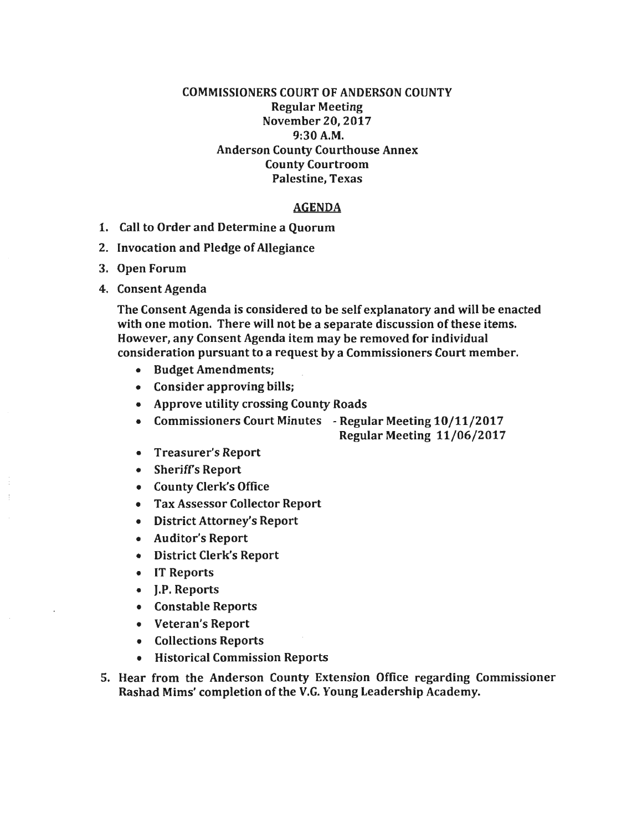## COMMISSIONERS COURT OF ANDERSON COUNTY Regular Meeting November 20, 2017 9:30A.M. Anderson County Courthouse Annex County Courtroom Palestine, Texas

## AGENDA

- 1. Call to Order and Determine a Quorum
- 2. Invocation and Pledge of Allegiance
- 3. Open Forum
- 4. Consent Agenda

The Consent Agenda is considered to be self explanatory and will be enacted with one motion. There will not be a separate discussion of these items. However, any Consent Agenda item may be removed for individual consideration pursuant to a request by a Commissioners Court member.

- Budget Amendments;
- Consider approving bills;
- Approve utility crossing County Roads
- Commissioners Court Minutes Regular Meeting 10/11/2017
	- Regular Meeting 11/06/2017
- Treasurer's Report
- Sheriffs Report
- County Clerk's Office
- Tax Assessor Collector Report
- District Attorney's Report
- Auditor's Report
- District Clerk's Report
- IT Reports
- J.P. Reports
- Constable Reports
- Veteran's Report
- Collections Reports
- Historical Commission Reports
- 5. Hear from the Anderson County Extension Office regarding Commissioner Rashad Mims' completion of the V.G. Young Leadership Academy.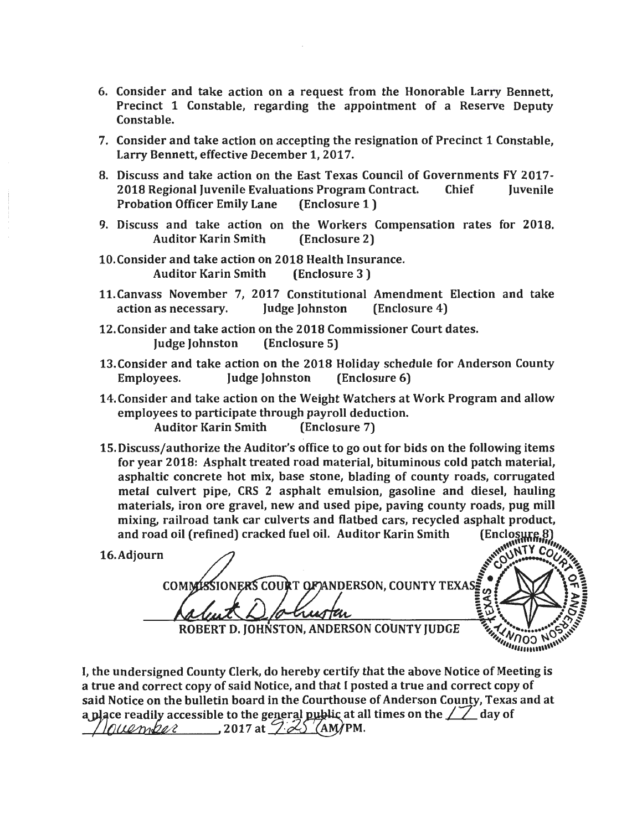- 6. Consider and take action on a request from the Honorable Larry Bennett, Precinct 1 Constable, regarding the appointment of a Reserve Deputy Constable.
- 7. Consider and take action on accepting the resignation of Precinct 1 Constable, Larry Bennett, effective December 1, 2017.
- 8. Discuss and take action on the East Texas Council of Governments FY 2017- 2018 Regional Juvenile Evaluations Program Contract. Chief Juvenile<br>Probation Officer Emily Lane (Enclosure 1) Probation Officer Emily Lane
- 9. Discuss and take action on the Workers Compensation rates for 2018.<br>Auditor Karin Smith (Enclosure 2) **Auditor Karin Smith**
- 10. Consider and take action on 2018 Health Insurance.<br>Auditor Karin Smith (Enclosure 3) **Auditor Karin Smith**
- 11. Canvass November 7, 2017 Constitutional Amendment Election and take<br>action as necessary. Judge Johnston (Enclosure 4) action as necessary. Judge Johnston (Enclosure 4)
- 12.Consider and take action on the 2018 Commissioner Court dates. Judge Johnston (Enclosure 5)
- 13. Consider and take action on the 2018 Holiday schedule for Anderson County Employees. Judge Johnston (Enclosure 6)
- 14.Consider and take action on the Weight Watchers at Work Program and allow employees to participate through payroll deduction. Auditor Karin Smith (Enclosure 7)
- 15. Discuss/authorize the Auditor's office to go out for bids on the following items for year 2018: Asphalt treated road material, bituminous cold patch material, asphaltic concrete hot mix, base stone, blading of county roads, corrugated metal culvert pipe, CRS 2 asphalt emulsion, gasoline and diesel, hauling materials, iron ore gravel, new and used pipe, paving county roads, pug mill mixing, railroad tank car culverts and flatbed cars, recycled asphalt product, (Enclosure) and road oil (refined) cracked fuel oil. Auditor Karin Smith

16.Adjourn

**NATY COM** COMMISSIONERS COURT OF ANDERSON, COUNTY TEXAS: స restan *Contractor March 1997* ROBERT D. JOHNSTON, ANDERSON COUNTY JUDGE

I, the undersigned County Clerk, do hereby certify that the above Notice of Meeting is a true and correct copy of said Notice, and that I posted a true and correct copy of said Notice on the bulletin board in the Courthouse of Anderson County, Texas and at a place readily accessible to the general public at all times on the  $\sqrt{2}$  day of  $//\allowbreak \textit{lower}$   $\ell$  , 2017 at  $22$  (AM)PM.